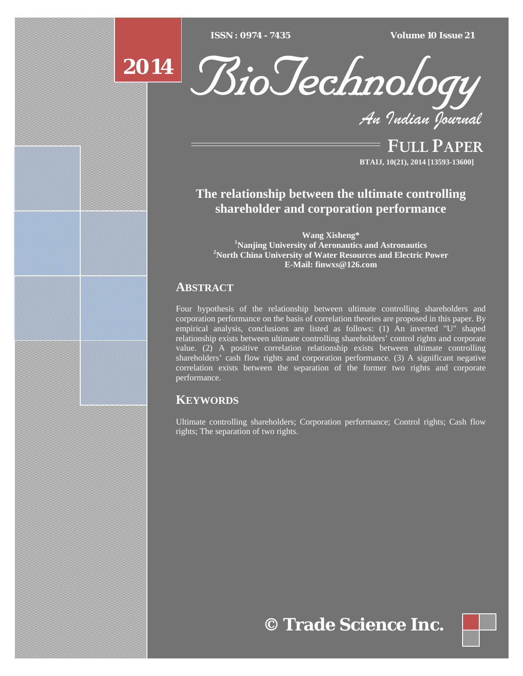$\overline{ISSN}$  : 0974 - 7435  $V$ olume 10 Issue 21 *ISSN : 0974 - 7435 Volume 10 Issue 21*





*An Indian Journal* FULL PAPER

**BTAIJ, 10(21), 2014 [13593-13600]**

# **The relationship between the ultimate controlling shareholder and corporation performance**

**Wang Xisheng\***<br><sup>1</sup>Noniing University of Aeronautics **Nanjing University of Aeronautics and Astronautics <sup>2</sup>** <sup>2</sup> North China University of Water Resources and Electric Power **E-Mail: finwxs@126.com** 

## **ABSTRACT**

Four hypothesis of the relationship between ultimate controlling shareholders and corporation performance on the basis of correlation theories are proposed in this paper. By empirical analysis, conclusions are listed as follows: (1) An inverted "U" shaped relationship exists between ultimate controlling shareholders' control rights and corporate value. (2) A positive correlation relationship exists between ultimate controlling shareholders' cash flow rights and corporation performance. (3) A significant negative correlation exists between the separation of the former two rights and corporate performance.

## **KEYWORDS**

Ultimate controlling shareholders; Corporation performance; Control rights; Cash flow rights; The separation of two rights.

**© Trade Science Inc.**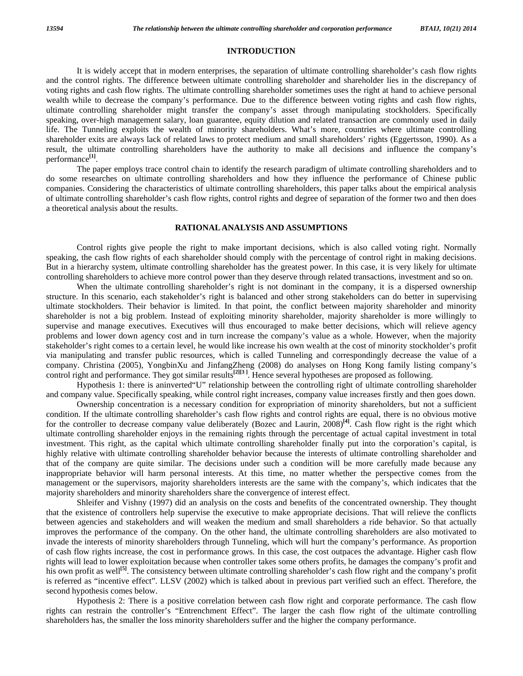#### **INTRODUCTION**

 It is widely accept that in modern enterprises, the separation of ultimate controlling shareholder's cash flow rights and the control rights. The difference between ultimate controlling shareholder and shareholder lies in the discrepancy of voting rights and cash flow rights. The ultimate controlling shareholder sometimes uses the right at hand to achieve personal wealth while to decrease the company's performance. Due to the difference between voting rights and cash flow rights, ultimate controlling shareholder might transfer the company's asset through manipulating stockholders. Specifically speaking, over-high management salary, loan guarantee, equity dilution and related transaction are commonly used in daily life. The Tunneling exploits the wealth of minority shareholders. What's more, countries where ultimate controlling shareholder exits are always lack of related laws to protect medium and small shareholders' rights (Eggertsson, 1990). As a result, the ultimate controlling shareholders have the authority to make all decisions and influence the company's performance**[1]**.

 The paper employs trace control chain to identify the research paradigm of ultimate controlling shareholders and to do some researches on ultimate controlling shareholders and how they influence the performance of Chinese public companies. Considering the characteristics of ultimate controlling shareholders, this paper talks about the empirical analysis of ultimate controlling shareholder's cash flow rights, control rights and degree of separation of the former two and then does a theoretical analysis about the results.

#### **RATIONAL ANALYSIS AND ASSUMPTIONS**

 Control rights give people the right to make important decisions, which is also called voting right. Normally speaking, the cash flow rights of each shareholder should comply with the percentage of control right in making decisions. But in a hierarchy system, ultimate controlling shareholder has the greatest power. In this case, it is very likely for ultimate controlling shareholders to achieve more control power than they deserve through related transactions, investment and so on.

 When the ultimate controlling shareholder's right is not dominant in the company, it is a dispersed ownership structure. In this scenario, each stakeholder's right is balanced and other strong stakeholders can do better in supervising ultimate stockholders. Their behavior is limited. In that point, the conflict between majority shareholder and minority shareholder is not a big problem. Instead of exploiting minority shareholder, majority shareholder is more willingly to supervise and manage executives. Executives will thus encouraged to make better decisions, which will relieve agency problems and lower down agency cost and in turn increase the company's value as a whole. However, when the majority stakeholder's right comes to a certain level, he would like increase his own wealth at the cost of minority stockholder's profit via manipulating and transfer public resources, which is called Tunneling and correspondingly decrease the value of a company. Christina (2005), YongbinXu and JinfangZheng (2008) do analyses on Hong Kong family listing company's control right and performance. They got similar results**[2][3 ]**. Hence several hypotheses are proposed as following.

 Hypothesis 1: there is aninverted"U" relationship between the controlling right of ultimate controlling shareholder and company value. Specifically speaking, while control right increases, company value increases firstly and then goes down.

 Ownership concentration is a necessary condition for expropriation of minority shareholders, but not a sufficient condition. If the ultimate controlling shareholder's cash flow rights and control rights are equal, there is no obvious motive for the controller to decrease company value deliberately (Bozec and Laurin, 2008)**[4]**. Cash flow right is the right which ultimate controlling shareholder enjoys in the remaining rights through the percentage of actual capital investment in total investment. This right, as the capital which ultimate controlling shareholder finally put into the corporation's capital, is highly relative with ultimate controlling shareholder behavior because the interests of ultimate controlling shareholder and that of the company are quite similar. The decisions under such a condition will be more carefully made because any inappropriate behavior will harm personal interests. At this time, no matter whether the perspective comes from the management or the supervisors, majority shareholders interests are the same with the company's, which indicates that the majority shareholders and minority shareholders share the convergence of interest effect.

 Shleifer and Vishny (1997) did an analysis on the costs and benefits of the concentrated ownership. They thought that the existence of controllers help supervise the executive to make appropriate decisions. That will relieve the conflicts between agencies and stakeholders and will weaken the medium and small shareholders a ride behavior. So that actually improves the performance of the company. On the other hand, the ultimate controlling shareholders are also motivated to invade the interests of minority shareholders through Tunneling, which will hurt the company's performance. As proportion of cash flow rights increase, the cost in performance grows. In this case, the cost outpaces the advantage. Higher cash flow rights will lead to lower exploitation because when controller takes some others profits, he damages the company's profit and his own profit as well<sup>[5]</sup>. The consistency between ultimate controlling shareholder's cash flow right and the company's profit is referred as "incentive effect". LLSV (2002) which is talked about in previous part verified such an effect. Therefore, the second hypothesis comes below.

 Hypothesis 2: There is a positive correlation between cash flow right and corporate performance. The cash flow rights can restrain the controller's "Entrenchment Effect". The larger the cash flow right of the ultimate controlling shareholders has, the smaller the loss minority shareholders suffer and the higher the company performance.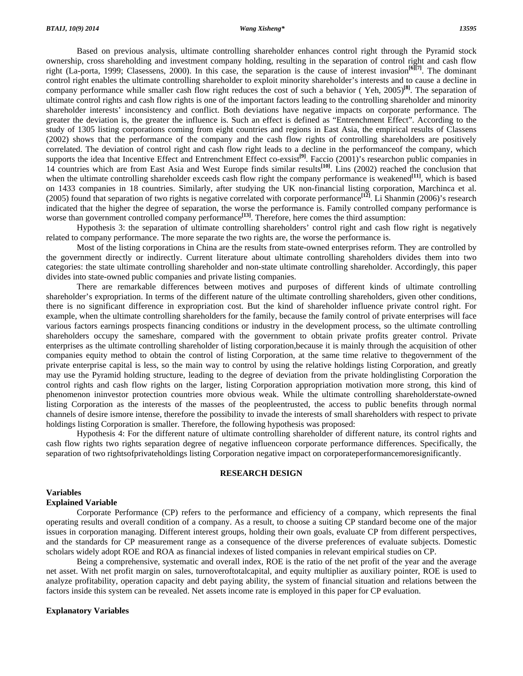Based on previous analysis, ultimate controlling shareholder enhances control right through the Pyramid stock ownership, cross shareholding and investment company holding, resulting in the separation of control right and cash flow right (La-porta, 1999; Clasessens, 2000). In this case, the separation is the cause of interest invasion**[6][7]**. The dominant control right enables the ultimate controlling shareholder to exploit minority shareholder's interests and to cause a decline in company performance while smaller cash flow right reduces the cost of such a behavior ( Yeh, 2005)**[8]**. The separation of ultimate control rights and cash flow rights is one of the important factors leading to the controlling shareholder and minority shareholder interests' inconsistency and conflict. Both deviations have negative impacts on corporate performance. The greater the deviation is, the greater the influence is. Such an effect is defined as "Entrenchment Effect". According to the study of 1305 listing corporations coming from eight countries and regions in East Asia, the empirical results of Classens (2002) shows that the performance of the company and the cash flow rights of controlling shareholders are positively correlated. The deviation of control right and cash flow right leads to a decline in the performanceof the company, which supports the idea that Incentive Effect and Entrenchment Effect co-exsist<sup>[9]</sup>. Faccio (2001)'s researchon public companies in 14 countries which are from East Asia and West Europe finds similar results**[10]**. Lins (2002) reached the conclusion that when the ultimate controlling shareholder exceeds cash flow right the company performance is weakened<sup>[11]</sup>, which is based on 1433 companies in 18 countries. Similarly, after studying the UK non-financial listing corporation, Marchinca et al. (2005) found that separation of two rights is negative correlated with corporate performance**[12]**. Li Shanmin (2006)'s research indicated that the higher the degree of separation, the worse the performance is. Family controlled company performance is worse than government controlled company performance<sup>[13]</sup>. Therefore, here comes the third assumption:

 Hypothesis 3: the separation of ultimate controlling shareholders' control right and cash flow right is negatively related to company performance. The more separate the two rights are, the worse the performance is.

 Most of the listing corporations in China are the results from state-owned enterprises reform. They are controlled by the government directly or indirectly. Current literature about ultimate controlling shareholders divides them into two categories: the state ultimate controlling shareholder and non-state ultimate controlling shareholder. Accordingly, this paper divides into state-owned public companies and private listing companies.

 There are remarkable differences between motives and purposes of different kinds of ultimate controlling shareholder's expropriation. In terms of the different nature of the ultimate controlling shareholders, given other conditions, there is no significant difference in expropriation cost. But the kind of shareholder influence private control right. For example, when the ultimate controlling shareholders for the family, because the family control of private enterprises will face various factors earnings prospects financing conditions or industry in the development process, so the ultimate controlling shareholders occupy the sameshare, compared with the government to obtain private profits greater control. Private enterprises as the ultimate controlling shareholder of listing corporation,because it is mainly through the acquisition of other companies equity method to obtain the control of listing Corporation, at the same time relative to thegovernment of the private enterprise capital is less, so the main way to control by using the relative holdings listing Corporation, and greatly may use the Pyramid holding structure, leading to the degree of deviation from the private holdinglisting Corporation the control rights and cash flow rights on the larger, listing Corporation appropriation motivation more strong, this kind of phenomenon ininvestor protection countries more obvious weak. While the ultimate controlling shareholderstate-owned listing Corporation as the interests of the masses of the peopleentrusted, the access to public benefits through normal channels of desire ismore intense, therefore the possibility to invade the interests of small shareholders with respect to private holdings listing Corporation is smaller. Therefore, the following hypothesis was proposed:

 Hypothesis 4: For the different nature of ultimate controlling shareholder of different nature, its control rights and cash flow rights two rights separation degree of negative influenceon corporate performance differences. Specifically, the separation of two rightsofprivateholdings listing Corporation negative impact on corporateperformancemoresignificantly.

#### **RESEARCH DESIGN**

#### **Variables**

#### **Explained Variable**

 Corporate Performance (CP) refers to the performance and efficiency of a company, which represents the final operating results and overall condition of a company. As a result, to choose a suiting CP standard become one of the major issues in corporation managing. Different interest groups, holding their own goals, evaluate CP from different perspectives, and the standards for CP measurement range as a consequence of the diverse preferences of evaluate subjects. Domestic scholars widely adopt ROE and ROA as financial indexes of listed companies in relevant empirical studies on CP.

 Being a comprehensive, systematic and overall index, ROE is the ratio of the net profit of the year and the average net asset. With net profit margin on sales, turnoveroftotalcapital, and equity multiplier as auxiliary pointer, ROE is used to analyze profitability, operation capacity and debt paying ability, the system of financial situation and relations between the factors inside this system can be revealed. Net assets income rate is employed in this paper for CP evaluation.

#### **Explanatory Variables**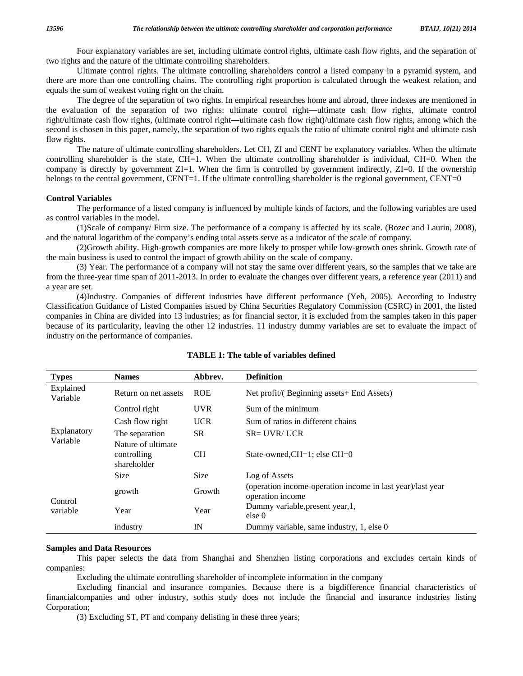Four explanatory variables are set, including ultimate control rights, ultimate cash flow rights, and the separation of two rights and the nature of the ultimate controlling shareholders.

 Ultimate control rights. The ultimate controlling shareholders control a listed company in a pyramid system, and there are more than one controlling chains. The controlling right proportion is calculated through the weakest relation, and equals the sum of weakest voting right on the chain.

 The degree of the separation of two rights. In empirical researches home and abroad, three indexes are mentioned in the evaluation of the separation of two rights: ultimate control right—ultimate cash flow rights, ultimate control right/ultimate cash flow rights, (ultimate control right—ultimate cash flow right)/ultimate cash flow rights, among which the second is chosen in this paper, namely, the separation of two rights equals the ratio of ultimate control right and ultimate cash flow rights.

 The nature of ultimate controlling shareholders. Let CH, ZI and CENT be explanatory variables. When the ultimate controlling shareholder is the state, CH=1. When the ultimate controlling shareholder is individual, CH=0. When the company is directly by government ZI=1. When the firm is controlled by government indirectly, ZI=0. If the ownership belongs to the central government, CENT=1. If the ultimate controlling shareholder is the regional government, CENT=0

#### **Control Variables**

 The performance of a listed company is influenced by multiple kinds of factors, and the following variables are used as control variables in the model.

 (1)Scale of company/ Firm size. The performance of a company is affected by its scale. (Bozec and Laurin, 2008), and the natural logarithm of the company's ending total assets serve as a indicator of the scale of company.

 (2)Growth ability. High-growth companies are more likely to prosper while low-growth ones shrink. Growth rate of the main business is used to control the impact of growth ability on the scale of company.

 (3) Year. The performance of a company will not stay the same over different years, so the samples that we take are from the three-year time span of 2011-2013. In order to evaluate the changes over different years, a reference year (2011) and a year are set.

 (4)Industry. Companies of different industries have different performance (Yeh, 2005). According to Industry Classification Guidance of Listed Companies issued by China Securities Regulatory Commission (CSRC) in 2001, the listed companies in China are divided into 13 industries; as for financial sector, it is excluded from the samples taken in this paper because of its particularity, leaving the other 12 industries. 11 industry dummy variables are set to evaluate the impact of industry on the performance of companies.

| <b>Types</b>            | <b>Names</b>                         | Abbrev.     | <b>Definition</b>                                                              |  |  |
|-------------------------|--------------------------------------|-------------|--------------------------------------------------------------------------------|--|--|
| Explained<br>Variable   | Return on net assets                 | <b>ROE</b>  | Net profit/(Beginning assets+ End Assets)                                      |  |  |
| Explanatory<br>Variable | Control right                        | <b>UVR</b>  | Sum of the minimum                                                             |  |  |
|                         | Cash flow right                      | <b>UCR</b>  | Sum of ratios in different chains                                              |  |  |
|                         | The separation<br>Nature of ultimate | <b>SR</b>   | $SR = UVR/UCR$                                                                 |  |  |
|                         | controlling<br>shareholder           | <b>CH</b>   | State-owned, $CH=1$ ; else $CH=0$                                              |  |  |
|                         | <b>Size</b>                          | <b>Size</b> | Log of Assets                                                                  |  |  |
| Control<br>variable     | growth                               | Growth      | (operation income-operation income in last year)/last year<br>operation income |  |  |
|                         | Year                                 | Year        | Dummy variable, present year, 1,<br>else 0                                     |  |  |
|                         | industry                             | IN          | Dummy variable, same industry, 1, else 0                                       |  |  |

#### **TABLE 1: The table of variables defined**

#### **Samples and Data Resources**

 This paper selects the data from Shanghai and Shenzhen listing corporations and excludes certain kinds of companies:

Excluding the ultimate controlling shareholder of incomplete information in the company

 Excluding financial and insurance companies. Because there is a bigdifference financial characteristics of financialcompanies and other industry, sothis study does not include the financial and insurance industries listing Corporation;

(3) Excluding ST, PT and company delisting in these three years;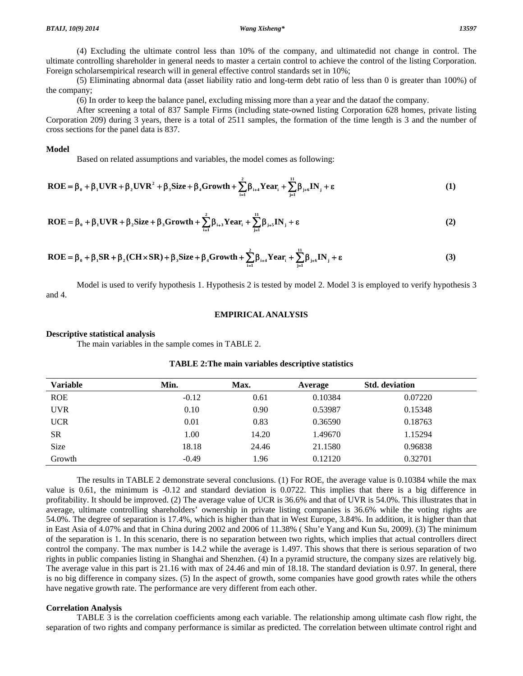(4) Excluding the ultimate control less than 10% of the company, and ultimatedid not change in control. The ultimate controlling shareholder in general needs to master a certain control to achieve the control of the listing Corporation. Foreign scholarsempirical research will in general effective control standards set in 10%;

 (5) Eliminating abnormal data (asset liability ratio and long-term debt ratio of less than 0 is greater than 100%) of the company;

(6) In order to keep the balance panel, excluding missing more than a year and the dataof the company.

 After screening a total of 837 Sample Firms (including state-owned listing Corporation 628 homes, private listing Corporation 209) during 3 years, there is a total of 2511 samples, the formation of the time length is 3 and the number of cross sections for the panel data is 837.

#### **Model**

Based on related assumptions and variables, the model comes as following:

$$
\mathbf{ROE} = \beta_0 + \beta_1 \mathbf{UVR} + \beta_2 \mathbf{UVR}^2 + \beta_3 \mathbf{Size} + \beta_4 \mathbf{Growth} + \sum_{i=1}^{2} \beta_{i+4} \mathbf{Year}_i + \sum_{j=1}^{11} \beta_{j+6} \mathbf{IN}_j + \varepsilon
$$
 (1)

$$
\mathbf{ROE} = \beta_0 + \beta_1 \mathbf{UVR} + \beta_2 \mathbf{Size} + \beta_3 \mathbf{Growth} + \sum_{i=1}^{2} \beta_{i+3} \mathbf{Year}_i + \sum_{j=1}^{11} \beta_{j+5} \mathbf{IN}_j + \varepsilon
$$
 (2)

$$
\mathbf{ROE} = \beta_0 + \beta_1 \mathbf{SR} + \beta_2 (\mathbf{CH} \times \mathbf{SR}) + \beta_3 \mathbf{Size} + \beta_4 \mathbf{G} \mathbf{rowth} + \sum_{i=1}^2 \beta_{i+4} \mathbf{Year}_i + \sum_{j=1}^{11} \beta_{j+6} \mathbf{IN}_j + \varepsilon
$$
 (3)

 Model is used to verify hypothesis 1. Hypothesis 2 is tested by model 2. Model 3 is employed to verify hypothesis 3 and 4.

#### **EMPIRICAL ANALYSIS**

#### **Descriptive statistical analysis**

The main variables in the sample comes in TABLE 2.

| <b>Variable</b> | Min.    | Max.  | Average | <b>Std.</b> deviation |
|-----------------|---------|-------|---------|-----------------------|
| <b>ROE</b>      | $-0.12$ | 0.61  | 0.10384 | 0.07220               |
| <b>UVR</b>      | 0.10    | 0.90  | 0.53987 | 0.15348               |
| <b>UCR</b>      | 0.01    | 0.83  | 0.36590 | 0.18763               |
| <b>SR</b>       | 1.00    | 14.20 | 1.49670 | 1.15294               |
| Size            | 18.18   | 24.46 | 21.1580 | 0.96838               |
| Growth          | $-0.49$ | 1.96  | 0.12120 | 0.32701               |

#### **TABLE 2:The main variables descriptive statistics**

 The results in TABLE 2 demonstrate several conclusions. (1) For ROE, the average value is 0.10384 while the max value is 0.61, the minimum is -0.12 and standard deviation is 0.0722. This implies that there is a big difference in profitability. It should be improved. (2) The average value of UCR is 36.6% and that of UVR is 54.0%. This illustrates that in average, ultimate controlling shareholders' ownership in private listing companies is 36.6% while the voting rights are 54.0%. The degree of separation is 17.4%, which is higher than that in West Europe, 3.84%. In addition, it is higher than that in East Asia of 4.07% and that in China during 2002 and 2006 of 11.38% ( Shu'e Yang and Kun Su, 2009). (3) The minimum of the separation is 1. In this scenario, there is no separation between two rights, which implies that actual controllers direct control the company. The max number is 14.2 while the average is 1.497. This shows that there is serious separation of two rights in public companies listing in Shanghai and Shenzhen. (4) In a pyramid structure, the company sizes are relatively big. The average value in this part is 21.16 with max of 24.46 and min of 18.18. The standard deviation is 0.97. In general, there is no big difference in company sizes. (5) In the aspect of growth, some companies have good growth rates while the others have negative growth rate. The performance are very different from each other.

#### **Correlation Analysis**

 TABLE 3 is the correlation coefficients among each variable. The relationship among ultimate cash flow right, the separation of two rights and company performance is similar as predicted. The correlation between ultimate control right and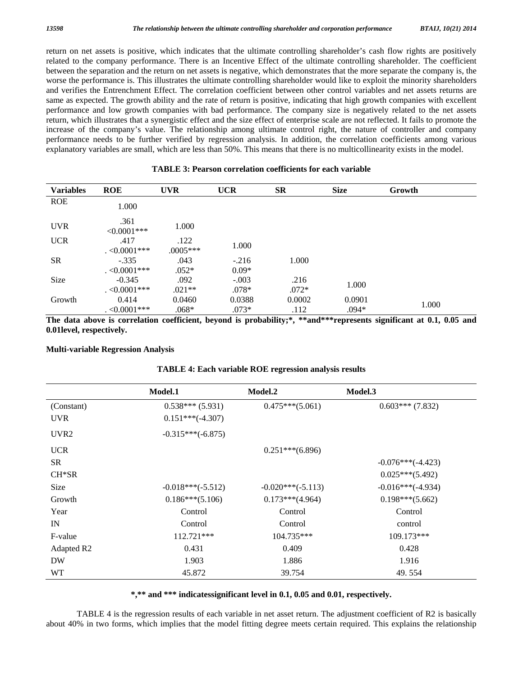return on net assets is positive, which indicates that the ultimate controlling shareholder's cash flow rights are positively related to the company performance. There is an Incentive Effect of the ultimate controlling shareholder. The coefficient between the separation and the return on net assets is negative, which demonstrates that the more separate the company is, the worse the performance is. This illustrates the ultimate controlling shareholder would like to exploit the minority shareholders and verifies the Entrenchment Effect. The correlation coefficient between other control variables and net assets returns are same as expected. The growth ability and the rate of return is positive, indicating that high growth companies with excellent performance and low growth companies with bad performance. The company size is negatively related to the net assets return, which illustrates that a synergistic effect and the size effect of enterprise scale are not reflected. It fails to promote the increase of the company's value. The relationship among ultimate control right, the nature of controller and company performance needs to be further verified by regression analysis. In addition, the correlation coefficients among various explanatory variables are small, which are less than 50%. This means that there is no multicollinearity exists in the model.

| <b>Variables</b> | <b>ROE</b>                     | <b>UVR</b>         | <b>UCR</b>         | <b>SR</b>       | <b>Size</b>       | Growth |
|------------------|--------------------------------|--------------------|--------------------|-----------------|-------------------|--------|
| <b>ROE</b>       | 1.000                          |                    |                    |                 |                   |        |
| <b>UVR</b>       | .361<br>$< 0.0001$ ***         | 1.000              |                    |                 |                   |        |
| <b>UCR</b>       | .417<br>$\leq 0.0001$ ***      | .122<br>$.0005***$ | 1.000              |                 |                   |        |
| <b>SR</b>        | $-.335$<br>$. < 0.0001$ ***    | .043<br>$.052*$    | $-.216$<br>$0.09*$ | 1.000           |                   |        |
| Size             | $-0.345$<br>$\cdot$ <0.0001*** | .092<br>$.021**$   | $-.003$<br>$.078*$ | .216<br>$.072*$ | 1.000             |        |
| Growth           | 0.414<br>$\cdot$ <0.0001***    | 0.0460<br>$.068*$  | 0.0388<br>$.073*$  | 0.0002<br>.112  | 0.0901<br>$.094*$ | 1.000  |

**TABLE 3: Pearson correlation coefficients for each variable** 

**The data above is correlation coefficient, beyond is probability;\*, \*\*and\*\*\*represents significant at 0.1, 0.05 and 0.01level, respectively.** 

#### **Multi-variable Regression Analysis**

|                  | Model.1             | Model.2             | Model.3             |
|------------------|---------------------|---------------------|---------------------|
| (Constant)       | $0.538***(5.931)$   | $0.475***(5.061)$   | $0.603***$ (7.832)  |
| <b>UVR</b>       | $0.151***(-4.307)$  |                     |                     |
| UVR <sub>2</sub> | $-0.315***(-6.875)$ |                     |                     |
| <b>UCR</b>       |                     | $0.251***(6.896)$   |                     |
| <b>SR</b>        |                     |                     | $-0.076***(-4.423)$ |
| $CH*SR$          |                     |                     | $0.025***(5.492)$   |
| Size             | $-0.018***(-5.512)$ | $-0.020***(-5.113)$ | $-0.016***(-4.934)$ |
| Growth           | $0.186***(5.106)$   | $0.173***(4.964)$   | $0.198***(5.662)$   |
| Year             | Control             | Control             | Control             |
| IN               | Control             | Control             | control             |
| F-value          | $112.721***$        | $104.735***$        | $109.173***$        |
| Adapted R2       | 0.431               | 0.409               | 0.428               |
| <b>DW</b>        | 1.903               | 1.886               | 1.916               |
| WT.              | 45.872              | 39.754              | 49.554              |

#### **TABLE 4: Each variable ROE regression analysis results**

**\*,\*\* and \*\*\* indicatessignificant level in 0.1, 0.05 and 0.01, respectively.** 

 TABLE 4 is the regression results of each variable in net asset return. The adjustment coefficient of R2 is basically about 40% in two forms, which implies that the model fitting degree meets certain required. This explains the relationship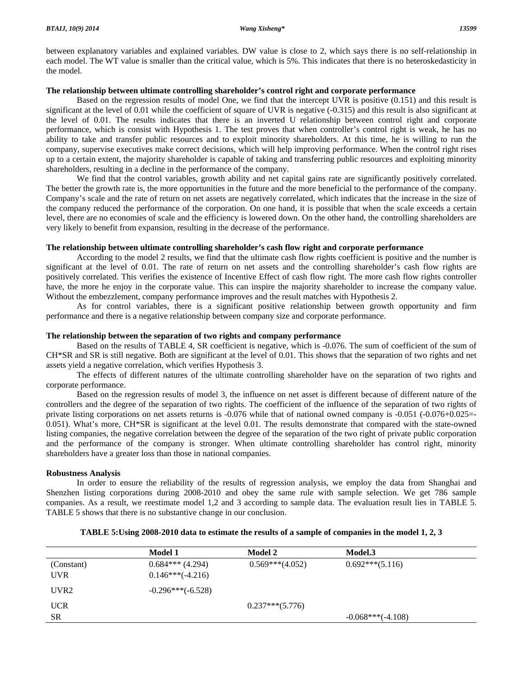between explanatory variables and explained variables. DW value is close to 2, which says there is no self-relationship in each model. The WT value is smaller than the critical value, which is 5%. This indicates that there is no heteroskedasticity in the model.

### **The relationship between ultimate controlling shareholder's control right and corporate performance**

 Based on the regression results of model One, we find that the intercept UVR is positive (0.151) and this result is significant at the level of 0.01 while the coefficient of square of UVR is negative (-0.315) and this result is also significant at the level of 0.01. The results indicates that there is an inverted U relationship between control right and corporate performance, which is consist with Hypothesis 1. The test proves that when controller's control right is weak, he has no ability to take and transfer public resources and to exploit minority shareholders. At this time, he is willing to run the company, supervise executives make correct decisions, which will help improving performance. When the control right rises up to a certain extent, the majority shareholder is capable of taking and transferring public resources and exploiting minority shareholders, resulting in a decline in the performance of the company.

 We find that the control variables, growth ability and net capital gains rate are significantly positively correlated. The better the growth rate is, the more opportunities in the future and the more beneficial to the performance of the company. Company's scale and the rate of return on net assets are negatively correlated, which indicates that the increase in the size of the company reduced the performance of the corporation. On one hand, it is possible that when the scale exceeds a certain level, there are no economies of scale and the efficiency is lowered down. On the other hand, the controlling shareholders are very likely to benefit from expansion, resulting in the decrease of the performance.

#### **The relationship between ultimate controlling shareholder's cash flow right and corporate performance**

 According to the model 2 results, we find that the ultimate cash flow rights coefficient is positive and the number is significant at the level of 0.01. The rate of return on net assets and the controlling shareholder's cash flow rights are positively correlated. This verifies the existence of Incentive Effect of cash flow right. The more cash flow rights controller have, the more he enjoy in the corporate value. This can inspire the majority shareholder to increase the company value. Without the embezzlement, company performance improves and the result matches with Hypothesis 2.

 As for control variables, there is a significant positive relationship between growth opportunity and firm performance and there is a negative relationship between company size and corporate performance.

#### **The relationship between the separation of two rights and company performance**

 Based on the results of TABLE 4, SR coefficient is negative, which is -0.076. The sum of coefficient of the sum of CH\*SR and SR is still negative. Both are significant at the level of 0.01. This shows that the separation of two rights and net assets yield a negative correlation, which verifies Hypothesis 3.

 The effects of different natures of the ultimate controlling shareholder have on the separation of two rights and corporate performance.

 Based on the regression results of model 3, the influence on net asset is different because of different nature of the controllers and the degree of the separation of two rights. The coefficient of the influence of the separation of two rights of private listing corporations on net assets returns is -0.076 while that of national owned company is -0.051 (-0.076+0.025=- 0.051). What's more, CH\*SR is significant at the level 0.01. The results demonstrate that compared with the state-owned listing companies, the negative correlation between the degree of the separation of the two right of private public corporation and the performance of the company is stronger. When ultimate controlling shareholder has control right, minority shareholders have a greater loss than those in national companies.

### **Robustness Analysis**

 In order to ensure the reliability of the results of regression analysis, we employ the data from Shanghai and Shenzhen listing corporations during 2008-2010 and obey the same rule with sample selection. We get 786 sample companies. As a result, we reestimate model 1,2 and 3 according to sample data. The evaluation result lies in TABLE 5. TABLE 5 shows that there is no substantive change in our conclusion.

|                  | Model 1             | Model 2           | Model.3             |
|------------------|---------------------|-------------------|---------------------|
| (Constant)       | $0.684***$ (4.294)  | $0.569***(4.052)$ | $0.692***(5.116)$   |
| <b>UVR</b>       | $0.146***(-4.216)$  |                   |                     |
| UVR <sub>2</sub> | $-0.296***(-6.528)$ |                   |                     |
| <b>UCR</b>       |                     | $0.237***(5.776)$ |                     |
| <b>SR</b>        |                     |                   | $-0.068***(-4.108)$ |

### **TABLE 5:Using 2008-2010 data to estimate the results of a sample of companies in the model 1, 2, 3**